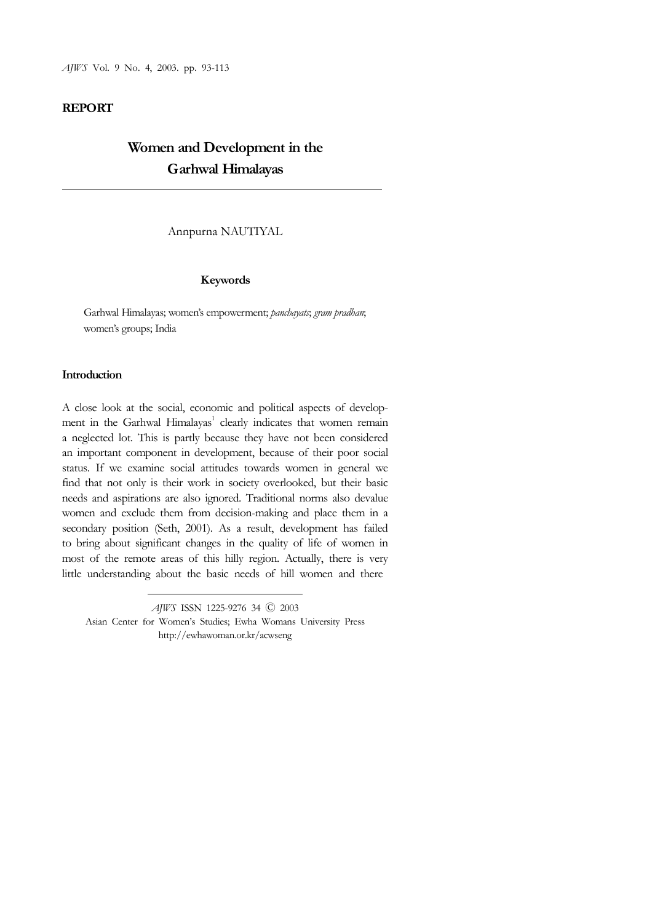# REPORT

# Women and Development in the Garhwal Himalayas

Annpurna NAUTIYAL

## Keywords

Garhwal Himalayas; women's empowerment; panchayats; gram pradhan; women's groups; India

#### Introduction

A close look at the social, economic and political aspects of development in the Garhwal Himalayas<sup>1</sup> clearly indicates that women remain a neglected lot. This is partly because they have not been considered an important component in development, because of their poor social status. If we examine social attitudes towards women in general we find that not only is their work in society overlooked, but their basic needs and aspirations are also ignored. Traditional norms also devalue women and exclude them from decision-making and place them in a secondary position (Seth, 2001). As a result, development has failed to bring about significant changes in the quality of life of women in most of the remote areas of this hilly region. Actually, there is very little understanding about the basic needs of hill women and there

AJWS ISSN 1225-9276 34 C 2003 Asian Center for Women's Studies; Ewha Womans University Press http://ewhawoman.or.kr/acwseng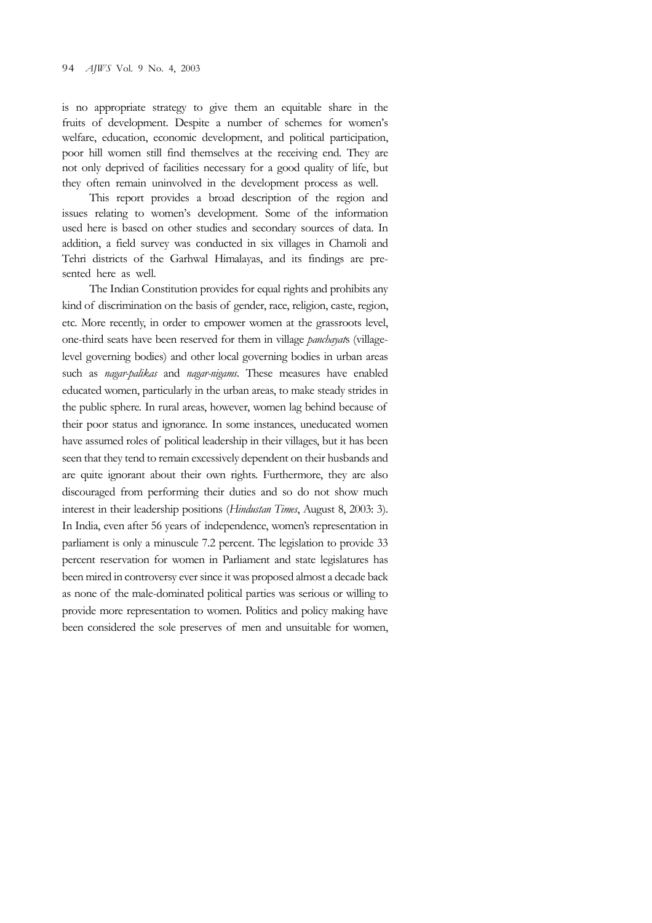is no appropriate strategy to give them an equitable share in the fruits of development. Despite a number of schemes for women's welfare, education, economic development, and political participation, poor hill women still find themselves at the receiving end. They are not only deprived of facilities necessary for a good quality of life, but they often remain uninvolved in the development process as well.

This report provides a broad description of the region and issues relating to women's development. Some of the information used here is based on other studies and secondary sources of data. In addition, a field survey was conducted in six villages in Chamoli and Tehri districts of the Garhwal Himalayas, and its findings are presented here as well.

The Indian Constitution provides for equal rights and prohibits any kind of discrimination on the basis of gender, race, religion, caste, region, etc. More recently, in order to empower women at the grassroots level, one-third seats have been reserved for them in village panchayats (villagelevel governing bodies) and other local governing bodies in urban areas such as nagar-palikas and nagar-nigams. These measures have enabled educated women, particularly in the urban areas, to make steady strides in the public sphere. In rural areas, however, women lag behind because of their poor status and ignorance. In some instances, uneducated women have assumed roles of political leadership in their villages, but it has been seen that they tend to remain excessively dependent on their husbands and are quite ignorant about their own rights. Furthermore, they are also discouraged from performing their duties and so do not show much interest in their leadership positions (Hindustan Times, August 8, 2003: 3). In India, even after 56 years of independence, women's representation in parliament is only a minuscule 7.2 percent. The legislation to provide 33 percent reservation for women in Parliament and state legislatures has been mired in controversy ever since it was proposed almost a decade back as none of the male-dominated political parties was serious or willing to provide more representation to women. Politics and policy making have been considered the sole preserves of men and unsuitable for women,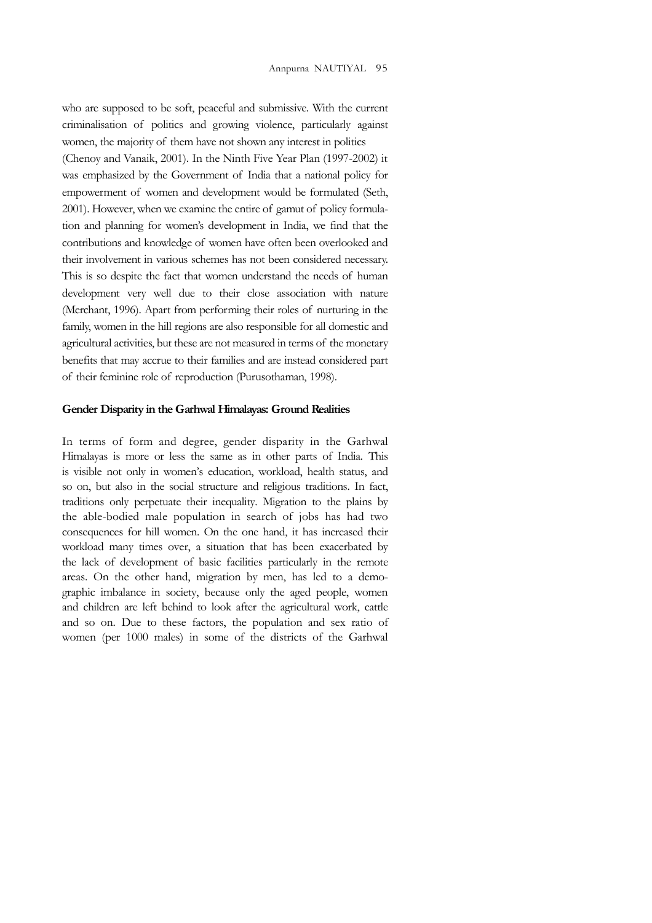who are supposed to be soft, peaceful and submissive. With the current criminalisation of politics and growing violence, particularly against women, the majority of them have not shown any interest in politics

(Chenoy and Vanaik, 2001). In the Ninth Five Year Plan (1997-2002) it was emphasized by the Government of India that a national policy for empowerment of women and development would be formulated (Seth, 2001). However, when we examine the entire of gamut of policy formulation and planning for women's development in India, we find that the contributions and knowledge of women have often been overlooked and their involvement in various schemes has not been considered necessary. This is so despite the fact that women understand the needs of human development very well due to their close association with nature (Merchant, 1996). Apart from performing their roles of nurturing in the family, women in the hill regions are also responsible for all domestic and agricultural activities, but these are not measured in terms of the monetary benefits that may accrue to their families and are instead considered part of their feminine role of reproduction (Purusothaman, 1998).

#### Gender Disparity in the Garhwal Himalayas: Ground Realities

In terms of form and degree, gender disparity in the Garhwal Himalayas is more or less the same as in other parts of India. This is visible not only in women's education, workload, health status, and so on, but also in the social structure and religious traditions. In fact, traditions only perpetuate their inequality. Migration to the plains by the able-bodied male population in search of jobs has had two consequences for hill women. On the one hand, it has increased their workload many times over, a situation that has been exacerbated by the lack of development of basic facilities particularly in the remote areas. On the other hand, migration by men, has led to a demographic imbalance in society, because only the aged people, women and children are left behind to look after the agricultural work, cattle and so on. Due to these factors, the population and sex ratio of women (per 1000 males) in some of the districts of the Garhwal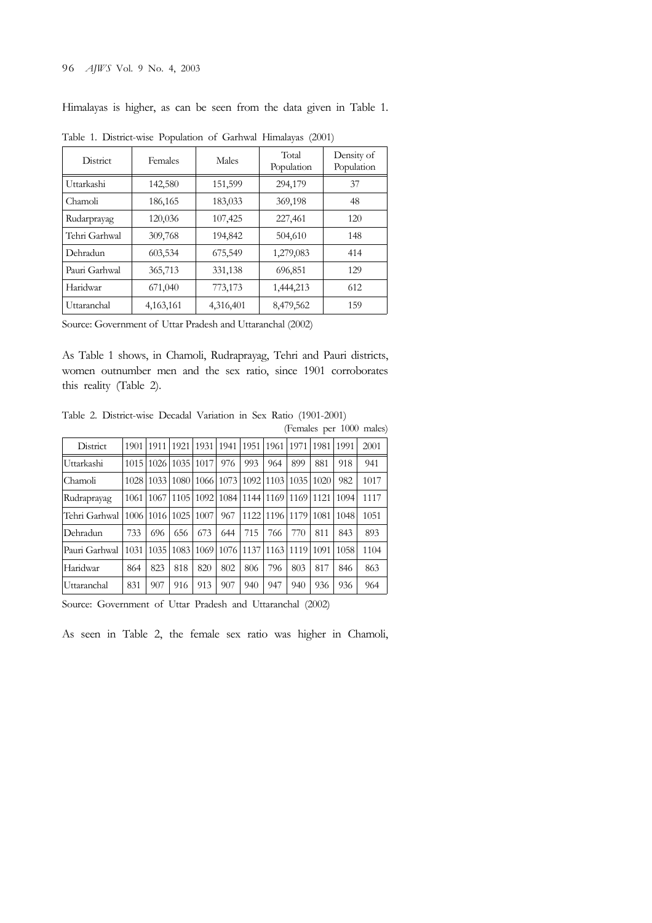Himalayas is higher, as can be seen from the data given in Table 1.

| District      | Females   | Males     | Total<br>Population | Density of<br>Population |  |
|---------------|-----------|-----------|---------------------|--------------------------|--|
| Uttarkashi    | 142,580   | 151,599   | 294,179             | 37                       |  |
| Chamoli       | 186,165   | 183,033   | 369,198             | 48                       |  |
| Rudarprayag   | 120,036   | 107,425   | 227,461             | 120                      |  |
| Tehri Garhwal | 309,768   | 194,842   | 504,610             | 148                      |  |
| Dehradun      | 603,534   | 675,549   | 1,279,083           | 414                      |  |
| Pauri Garhwal | 365,713   | 331,138   | 696,851             | 129                      |  |
| Haridwar      | 671,040   | 773,173   | 1,444,213           | 612                      |  |
| Uttaranchal   | 4,163,161 | 4,316,401 | 8,479,562           | 159                      |  |

Table 1. District-wise Population of Garhwal Himalayas (2001)

Source: Government of Uttar Pradesh and Uttaranchal (2002)

As Table 1 shows, in Chamoli, Rudraprayag, Tehri and Pauri districts, women outnumber men and the sex ratio, since 1901 corroborates this reality (Table 2).

Table 2. District-wise Decadal Variation in Sex Ratio (1901-2001)

|               |      |      |           |      |      |             |                |      |      |      | (Females per 1000 males) |
|---------------|------|------|-----------|------|------|-------------|----------------|------|------|------|--------------------------|
| District      | 1901 | 1911 | 1921      | 1931 | 1941 | 1951   1961 |                | 1971 | 1981 | 1991 | 2001                     |
| Uttarkashi    | 1015 | 1026 | 1035      | 1017 | 976  | 993         | 964            | 899  | 881  | 918  | 941                      |
| Chamoli       | 1028 | 1033 | 1080      | 1066 |      |             | 1073 1092 1103 | 1035 | 1020 | 982  | 1017                     |
| Rudraprayag   | 1061 |      | 1067 1105 | 1092 | 1084 |             | $1144$   1169  | 1169 | 1121 | 1094 | 1117                     |
| Tehri Garhwal | 1006 | 1016 | 1025      | 1007 | 967  | 1122        | 1196           | 1179 | 1081 | 1048 | 1051                     |
| Dehradun      | 733  | 696  | 656       | 673  | 644  | 715         | 766            | 770  | 811  | 843  | 893                      |
| Pauri Garhwal | 1031 | 1035 | 1083      | 1069 | 1076 | 1137        | 1163           | 1119 | 1091 | 1058 | 1104                     |
| Haridwar      | 864  | 823  | 818       | 820  | 802  | 806         | 796            | 803  | 817  | 846  | 863                      |
| Uttaranchal   | 831  | 907  | 916       | 913  | 907  | 940         | 947            | 940  | 936  | 936  | 964                      |

Source: Government of Uttar Pradesh and Uttaranchal (2002)

As seen in Table 2, the female sex ratio was higher in Chamoli,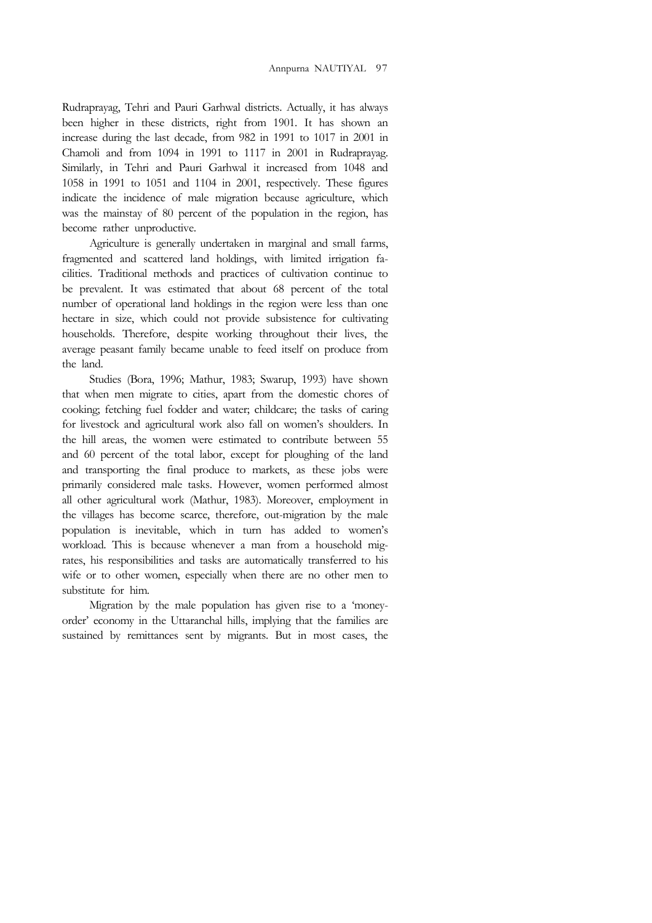Rudraprayag, Tehri and Pauri Garhwal districts. Actually, it has always been higher in these districts, right from 1901. It has shown an increase during the last decade, from 982 in 1991 to 1017 in 2001 in Chamoli and from 1094 in 1991 to 1117 in 2001 in Rudraprayag. Similarly, in Tehri and Pauri Garhwal it increased from 1048 and 1058 in 1991 to 1051 and 1104 in 2001, respectively. These figures indicate the incidence of male migration because agriculture, which was the mainstay of 80 percent of the population in the region, has become rather unproductive.

Agriculture is generally undertaken in marginal and small farms, fragmented and scattered land holdings, with limited irrigation facilities. Traditional methods and practices of cultivation continue to be prevalent. It was estimated that about 68 percent of the total number of operational land holdings in the region were less than one hectare in size, which could not provide subsistence for cultivating households. Therefore, despite working throughout their lives, the average peasant family became unable to feed itself on produce from the land.

Studies (Bora, 1996; Mathur, 1983; Swarup, 1993) have shown that when men migrate to cities, apart from the domestic chores of cooking; fetching fuel fodder and water; childcare; the tasks of caring for livestock and agricultural work also fall on women's shoulders. In the hill areas, the women were estimated to contribute between 55 and 60 percent of the total labor, except for ploughing of the land and transporting the final produce to markets, as these jobs were primarily considered male tasks. However, women performed almost all other agricultural work (Mathur, 1983). Moreover, employment in the villages has become scarce, therefore, out-migration by the male population is inevitable, which in turn has added to women's workload. This is because whenever a man from a household migrates, his responsibilities and tasks are automatically transferred to his wife or to other women, especially when there are no other men to substitute for him.

Migration by the male population has given rise to a 'moneyorder' economy in the Uttaranchal hills, implying that the families are sustained by remittances sent by migrants. But in most cases, the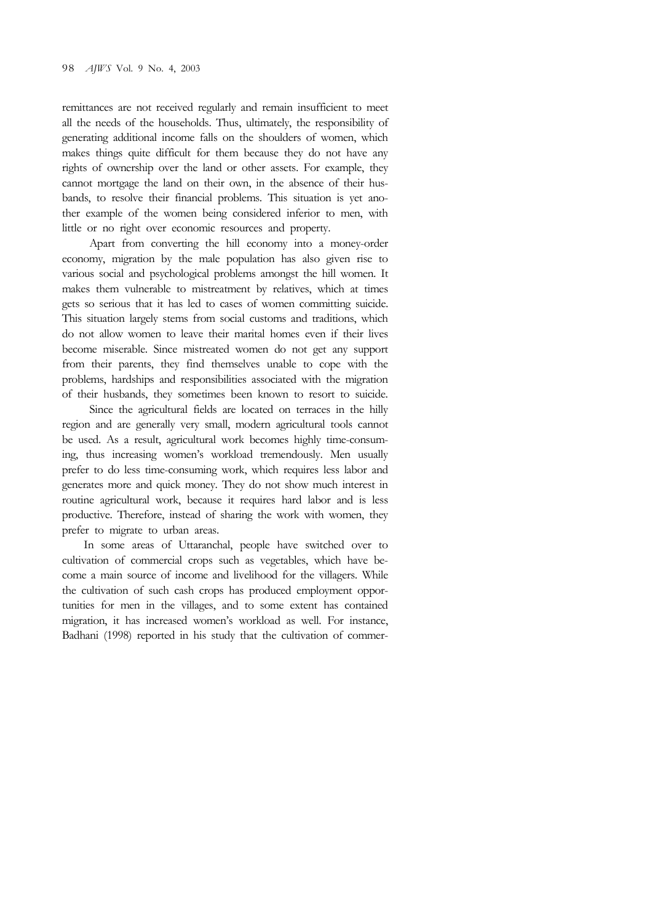remittances are not received regularly and remain insufficient to meet all the needs of the households. Thus, ultimately, the responsibility of generating additional income falls on the shoulders of women, which makes things quite difficult for them because they do not have any rights of ownership over the land or other assets. For example, they cannot mortgage the land on their own, in the absence of their husbands, to resolve their financial problems. This situation is yet another example of the women being considered inferior to men, with little or no right over economic resources and property.

Apart from converting the hill economy into a money-order economy, migration by the male population has also given rise to various social and psychological problems amongst the hill women. It makes them vulnerable to mistreatment by relatives, which at times gets so serious that it has led to cases of women committing suicide. This situation largely stems from social customs and traditions, which do not allow women to leave their marital homes even if their lives become miserable. Since mistreated women do not get any support from their parents, they find themselves unable to cope with the problems, hardships and responsibilities associated with the migration of their husbands, they sometimes been known to resort to suicide.

Since the agricultural fields are located on terraces in the hilly region and are generally very small, modern agricultural tools cannot be used. As a result, agricultural work becomes highly time-consuming, thus increasing women's workload tremendously. Men usually prefer to do less time-consuming work, which requires less labor and generates more and quick money. They do not show much interest in routine agricultural work, because it requires hard labor and is less productive. Therefore, instead of sharing the work with women, they prefer to migrate to urban areas.

In some areas of Uttaranchal, people have switched over to cultivation of commercial crops such as vegetables, which have become a main source of income and livelihood for the villagers. While the cultivation of such cash crops has produced employment opportunities for men in the villages, and to some extent has contained migration, it has increased women's workload as well. For instance, Badhani (1998) reported in his study that the cultivation of commer-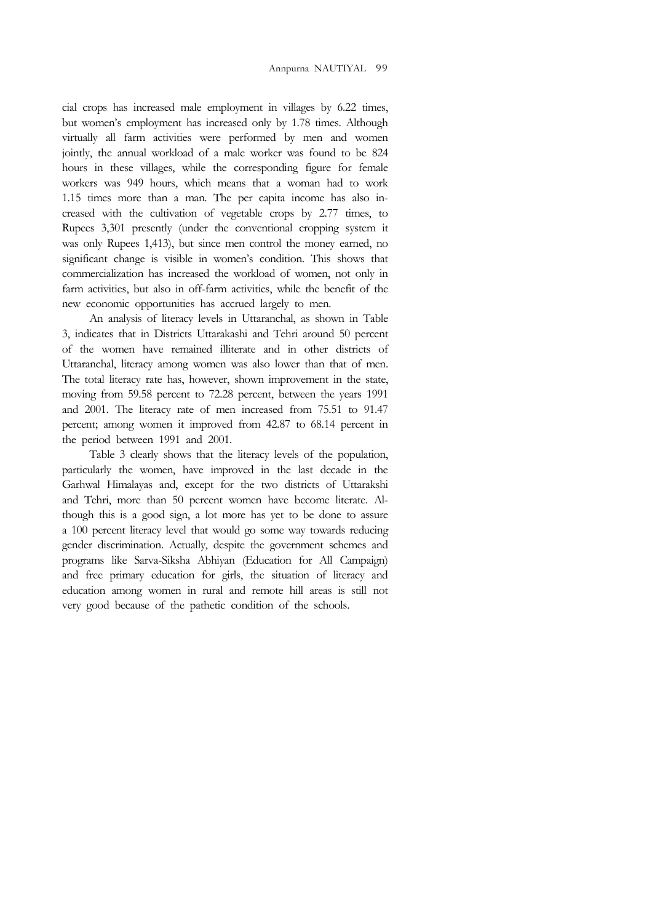cial crops has increased male employment in villages by 6.22 times, but women's employment has increased only by 1.78 times. Although virtually all farm activities were performed by men and women jointly, the annual workload of a male worker was found to be 824 hours in these villages, while the corresponding figure for female workers was 949 hours, which means that a woman had to work 1.15 times more than a man. The per capita income has also increased with the cultivation of vegetable crops by 2.77 times, to Rupees 3,301 presently (under the conventional cropping system it was only Rupees 1,413), but since men control the money earned, no significant change is visible in women's condition. This shows that commercialization has increased the workload of women, not only in farm activities, but also in off-farm activities, while the benefit of the new economic opportunities has accrued largely to men.

An analysis of literacy levels in Uttaranchal, as shown in Table 3, indicates that in Districts Uttarakashi and Tehri around 50 percent of the women have remained illiterate and in other districts of Uttaranchal, literacy among women was also lower than that of men. The total literacy rate has, however, shown improvement in the state, moving from 59.58 percent to 72.28 percent, between the years 1991 and 2001. The literacy rate of men increased from 75.51 to 91.47 percent; among women it improved from 42.87 to 68.14 percent in the period between 1991 and 2001.

Table 3 clearly shows that the literacy levels of the population, particularly the women, have improved in the last decade in the Garhwal Himalayas and, except for the two districts of Uttarakshi and Tehri, more than 50 percent women have become literate. Although this is a good sign, a lot more has yet to be done to assure a 100 percent literacy level that would go some way towards reducing gender discrimination. Actually, despite the government schemes and programs like Sarva-Siksha Abhiyan (Education for All Campaign) and free primary education for girls, the situation of literacy and education among women in rural and remote hill areas is still not very good because of the pathetic condition of the schools.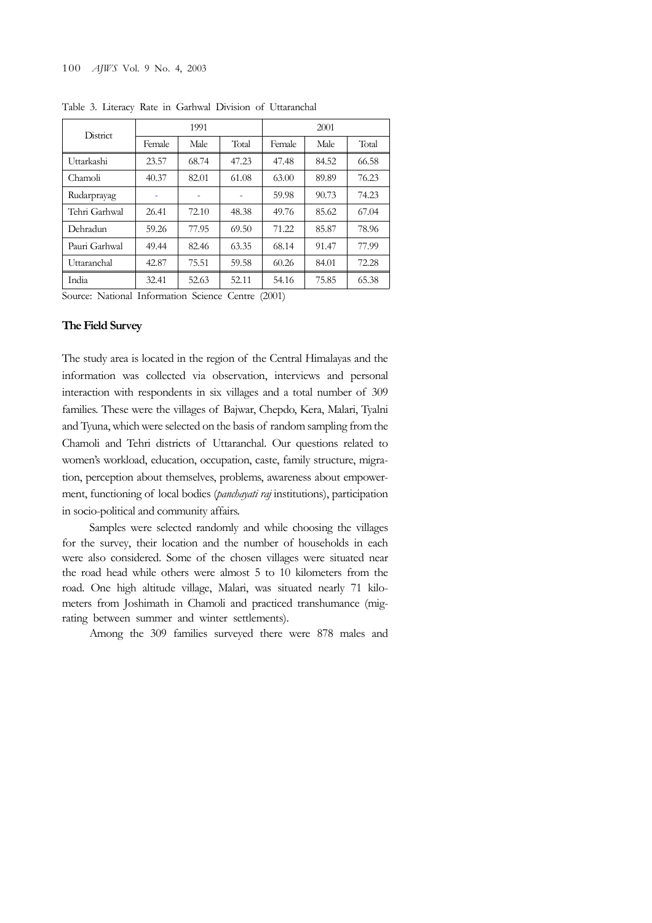| District      |        | 1991  |       | 2001   |       |       |  |
|---------------|--------|-------|-------|--------|-------|-------|--|
|               | Female | Male  | Total | Female | Male  | Total |  |
| Uttarkashi    | 23.57  | 68.74 | 47.23 | 47.48  | 84.52 | 66.58 |  |
| Chamoli       | 40.37  | 82.01 | 61.08 | 63.00  | 89.89 | 76.23 |  |
| Rudarprayag   | ۰      |       |       | 59.98  | 90.73 | 74.23 |  |
| Tehri Garhwal | 26.41  | 72.10 | 48.38 | 49.76  | 85.62 | 67.04 |  |
| Dehradun      | 59.26  | 77.95 | 69.50 | 71.22  | 85.87 | 78.96 |  |
| Pauri Garhwal | 49.44  | 82.46 | 63.35 | 68.14  | 91.47 | 77.99 |  |
| Uttaranchal   | 42.87  | 75.51 | 59.58 | 60.26  | 84.01 | 72.28 |  |
| India         | 32.41  | 52.63 | 52.11 | 54.16  | 75.85 | 65.38 |  |

Table 3. Literacy Rate in Garhwal Division of Uttaranchal

Source: National Information Science Centre (2001)

#### The Field Survey

The study area is located in the region of the Central Himalayas and the information was collected via observation, interviews and personal interaction with respondents in six villages and a total number of 309 families. These were the villages of Bajwar, Chepdo, Kera, Malari, Tyalni and Tyuna, which were selected on the basis of random sampling from the Chamoli and Tehri districts of Uttaranchal. Our questions related to women's workload, education, occupation, caste, family structure, migration, perception about themselves, problems, awareness about empowerment, functioning of local bodies (panchayati raj institutions), participation in socio-political and community affairs.

Samples were selected randomly and while choosing the villages for the survey, their location and the number of households in each were also considered. Some of the chosen villages were situated near the road head while others were almost 5 to 10 kilometers from the road. One high altitude village, Malari, was situated nearly 71 kilometers from Joshimath in Chamoli and practiced transhumance (migrating between summer and winter settlements).

Among the 309 families surveyed there were 878 males and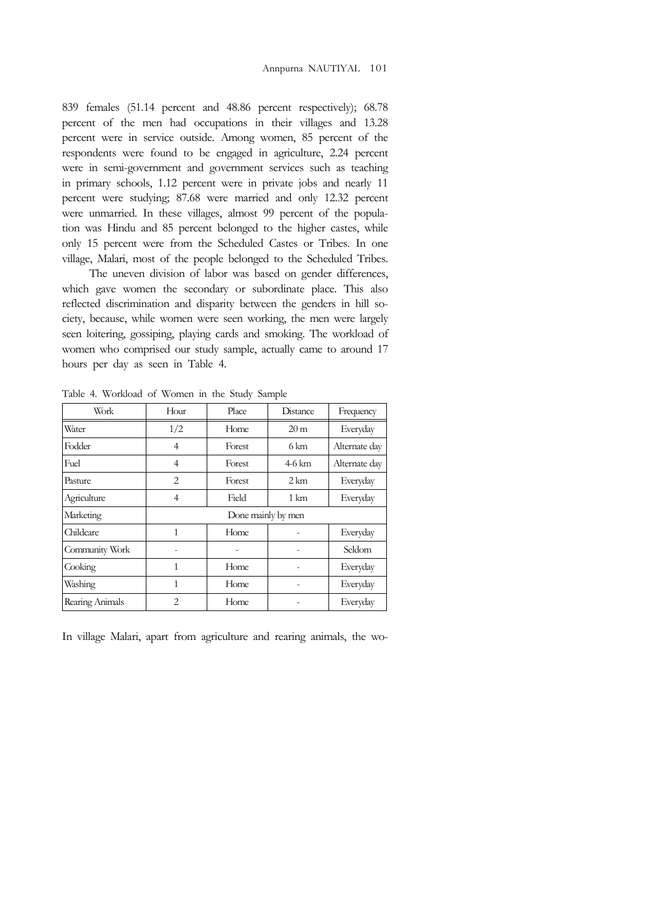839 females (51.14 percent and 48.86 percent respectively); 68.78 percent of the men had occupations in their villages and 13.28 percent were in service outside. Among women, 85 percent of the respondents were found to be engaged in agriculture, 2.24 percent were in semi-government and government services such as teaching in primary schools, 1.12 percent were in private jobs and nearly 11 percent were studying; 87.68 were married and only 12.32 percent were unmarried. In these villages, almost 99 percent of the population was Hindu and 85 percent belonged to the higher castes, while only 15 percent were from the Scheduled Castes or Tribes. In one village, Malari, most of the people belonged to the Scheduled Tribes.

The uneven division of labor was based on gender differences, which gave women the secondary or subordinate place. This also reflected discrimination and disparity between the genders in hill society, because, while women were seen working, the men were largely seen loitering, gossiping, playing cards and smoking. The workload of women who comprised our study sample, actually came to around 17 hours per day as seen in Table 4.

| Work            | Hour               | Place  | Distance                 | Frequency     |  |  |  |  |
|-----------------|--------------------|--------|--------------------------|---------------|--|--|--|--|
| Water           | 1/2                | Home   | $20 \text{ m}$           | Everyday      |  |  |  |  |
| Fodder          | 4                  | Forest | 6 km                     | Alternate day |  |  |  |  |
| Fuel            | $\overline{4}$     | Forest | $4-6$ km                 | Alternate day |  |  |  |  |
| Pasture         | $\overline{2}$     | Forest | $2 \,\mathrm{km}$        | Everyday      |  |  |  |  |
| Agriculture     | 4                  | Field  | $1 \text{ km}$           | Everyday      |  |  |  |  |
| Marketing       | Done mainly by men |        |                          |               |  |  |  |  |
| Childcare       | 1                  | Home   | Everyday                 |               |  |  |  |  |
| Community Work  | ۰                  |        | $\overline{\phantom{0}}$ | Seldom        |  |  |  |  |
| Cooking         | 1                  | Home   |                          | Everyday      |  |  |  |  |
| Washing         | 1                  | Home   | -                        | Everyday      |  |  |  |  |
| Rearing Animals | $\overline{c}$     | Home   |                          | Everyday      |  |  |  |  |

Table 4. Workload of Women in the Study Sample

In village Malari, apart from agriculture and rearing animals, the wo-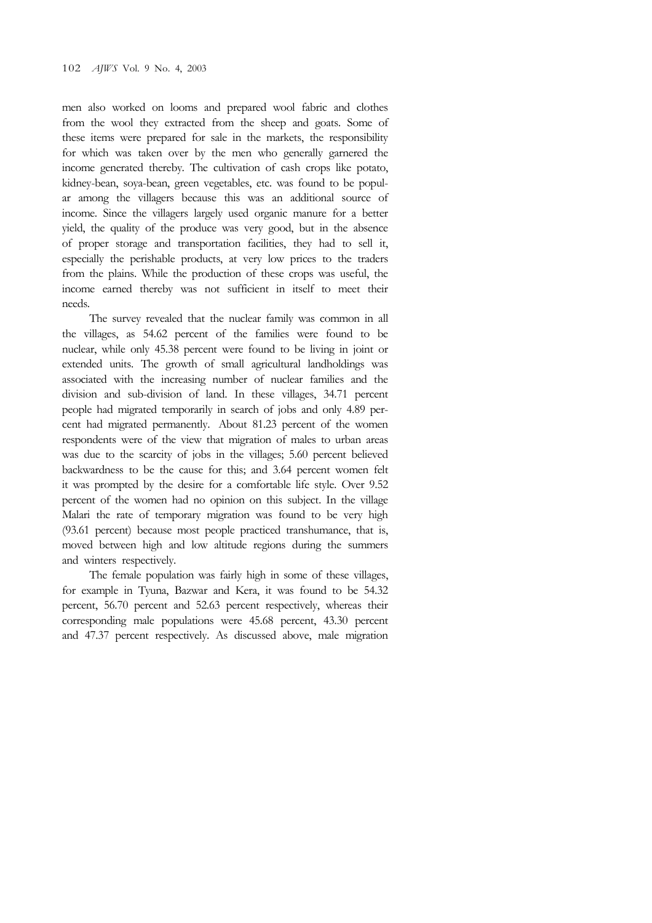men also worked on looms and prepared wool fabric and clothes from the wool they extracted from the sheep and goats. Some of these items were prepared for sale in the markets, the responsibility for which was taken over by the men who generally garnered the income generated thereby. The cultivation of cash crops like potato, kidney-bean, soya-bean, green vegetables, etc. was found to be popular among the villagers because this was an additional source of income. Since the villagers largely used organic manure for a better yield, the quality of the produce was very good, but in the absence of proper storage and transportation facilities, they had to sell it, especially the perishable products, at very low prices to the traders from the plains. While the production of these crops was useful, the income earned thereby was not sufficient in itself to meet their needs.

The survey revealed that the nuclear family was common in all the villages, as 54.62 percent of the families were found to be nuclear, while only 45.38 percent were found to be living in joint or extended units. The growth of small agricultural landholdings was associated with the increasing number of nuclear families and the division and sub-division of land. In these villages, 34.71 percent people had migrated temporarily in search of jobs and only 4.89 percent had migrated permanently. About 81.23 percent of the women respondents were of the view that migration of males to urban areas was due to the scarcity of jobs in the villages; 5.60 percent believed backwardness to be the cause for this; and 3.64 percent women felt it was prompted by the desire for a comfortable life style. Over 9.52 percent of the women had no opinion on this subject. In the village Malari the rate of temporary migration was found to be very high (93.61 percent) because most people practiced transhumance, that is, moved between high and low altitude regions during the summers and winters respectively.

The female population was fairly high in some of these villages, for example in Tyuna, Bazwar and Kera, it was found to be 54.32 percent, 56.70 percent and 52.63 percent respectively, whereas their corresponding male populations were 45.68 percent, 43.30 percent and 47.37 percent respectively. As discussed above, male migration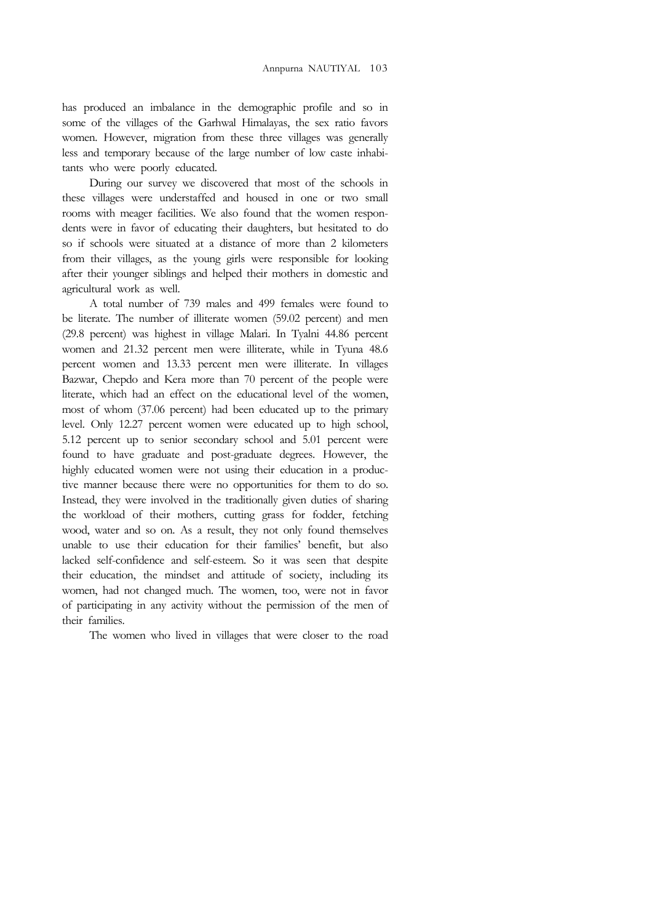has produced an imbalance in the demographic profile and so in some of the villages of the Garhwal Himalayas, the sex ratio favors women. However, migration from these three villages was generally less and temporary because of the large number of low caste inhabitants who were poorly educated.

During our survey we discovered that most of the schools in these villages were understaffed and housed in one or two small rooms with meager facilities. We also found that the women respondents were in favor of educating their daughters, but hesitated to do so if schools were situated at a distance of more than 2 kilometers from their villages, as the young girls were responsible for looking after their younger siblings and helped their mothers in domestic and agricultural work as well.

A total number of 739 males and 499 females were found to be literate. The number of illiterate women (59.02 percent) and men (29.8 percent) was highest in village Malari. In Tyalni 44.86 percent women and 21.32 percent men were illiterate, while in Tyuna 48.6 percent women and 13.33 percent men were illiterate. In villages Bazwar, Chepdo and Kera more than 70 percent of the people were literate, which had an effect on the educational level of the women, most of whom (37.06 percent) had been educated up to the primary level. Only 12.27 percent women were educated up to high school, 5.12 percent up to senior secondary school and 5.01 percent were found to have graduate and post-graduate degrees. However, the highly educated women were not using their education in a productive manner because there were no opportunities for them to do so. Instead, they were involved in the traditionally given duties of sharing the workload of their mothers, cutting grass for fodder, fetching wood, water and so on. As a result, they not only found themselves unable to use their education for their families' benefit, but also lacked self-confidence and self-esteem. So it was seen that despite their education, the mindset and attitude of society, including its women, had not changed much. The women, too, were not in favor of participating in any activity without the permission of the men of their families.

The women who lived in villages that were closer to the road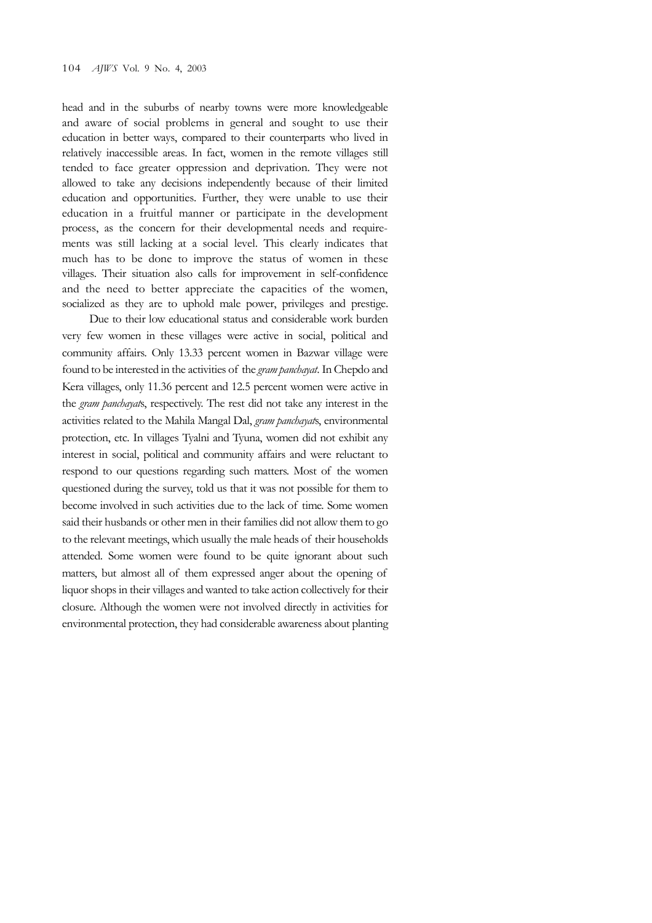head and in the suburbs of nearby towns were more knowledgeable and aware of social problems in general and sought to use their education in better ways, compared to their counterparts who lived in relatively inaccessible areas. In fact, women in the remote villages still tended to face greater oppression and deprivation. They were not allowed to take any decisions independently because of their limited education and opportunities. Further, they were unable to use their education in a fruitful manner or participate in the development process, as the concern for their developmental needs and requirements was still lacking at a social level. This clearly indicates that much has to be done to improve the status of women in these villages. Their situation also calls for improvement in self-confidence and the need to better appreciate the capacities of the women, socialized as they are to uphold male power, privileges and prestige.

Due to their low educational status and considerable work burden very few women in these villages were active in social, political and community affairs. Only 13.33 percent women in Bazwar village were found to be interested in the activities of the gram panchayat. In Chepdo and Kera villages, only 11.36 percent and 12.5 percent women were active in the gram panchayats, respectively. The rest did not take any interest in the activities related to the Mahila Mangal Dal, gram panchayats, environmental protection, etc. In villages Tyalni and Tyuna, women did not exhibit any interest in social, political and community affairs and were reluctant to respond to our questions regarding such matters. Most of the women questioned during the survey, told us that it was not possible for them to become involved in such activities due to the lack of time. Some women said their husbands or other men in their families did not allow them to go to the relevant meetings, which usually the male heads of their households attended. Some women were found to be quite ignorant about such matters, but almost all of them expressed anger about the opening of liquor shops in their villages and wanted to take action collectively for their closure. Although the women were not involved directly in activities for environmental protection, they had considerable awareness about planting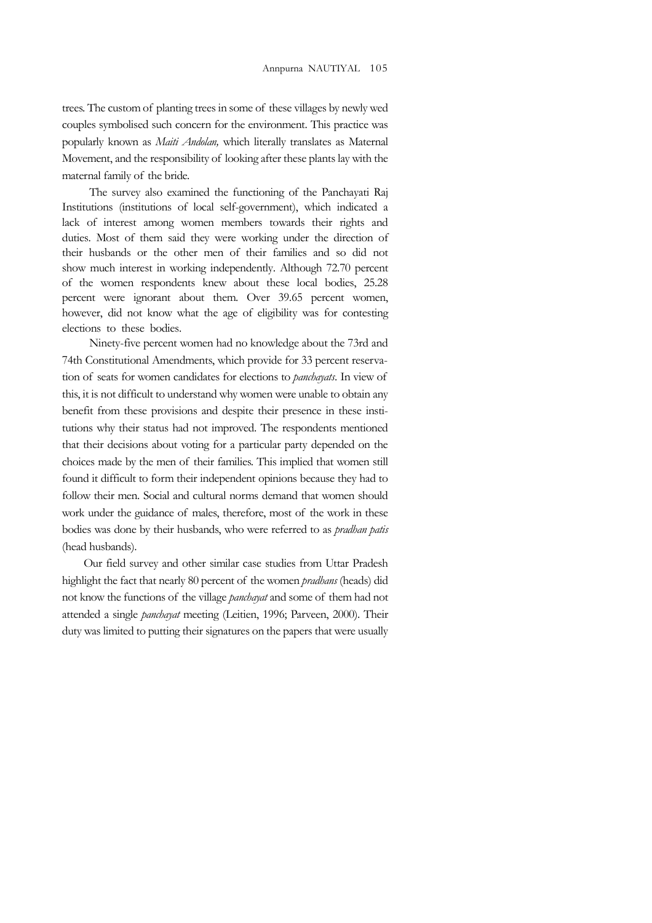trees. The custom of planting trees in some of these villages by newly wed couples symbolised such concern for the environment. This practice was popularly known as Maiti Andolan, which literally translates as Maternal Movement, and the responsibility of looking after these plants lay with the maternal family of the bride.

The survey also examined the functioning of the Panchayati Raj Institutions (institutions of local self-government), which indicated a lack of interest among women members towards their rights and duties. Most of them said they were working under the direction of their husbands or the other men of their families and so did not show much interest in working independently. Although 72.70 percent of the women respondents knew about these local bodies, 25.28 percent were ignorant about them. Over 39.65 percent women, however, did not know what the age of eligibility was for contesting elections to these bodies.

Ninety-five percent women had no knowledge about the 73rd and 74th Constitutional Amendments, which provide for 33 percent reservation of seats for women candidates for elections to panchayats. In view of this, it is not difficult to understand why women were unable to obtain any benefit from these provisions and despite their presence in these institutions why their status had not improved. The respondents mentioned that their decisions about voting for a particular party depended on the choices made by the men of their families. This implied that women still found it difficult to form their independent opinions because they had to follow their men. Social and cultural norms demand that women should work under the guidance of males, therefore, most of the work in these bodies was done by their husbands, who were referred to as pradhan patis (head husbands).

Our field survey and other similar case studies from Uttar Pradesh highlight the fact that nearly 80 percent of the women pradhans (heads) did not know the functions of the village panchayat and some of them had not attended a single panchayat meeting (Leitien, 1996; Parveen, 2000). Their duty was limited to putting their signatures on the papers that were usually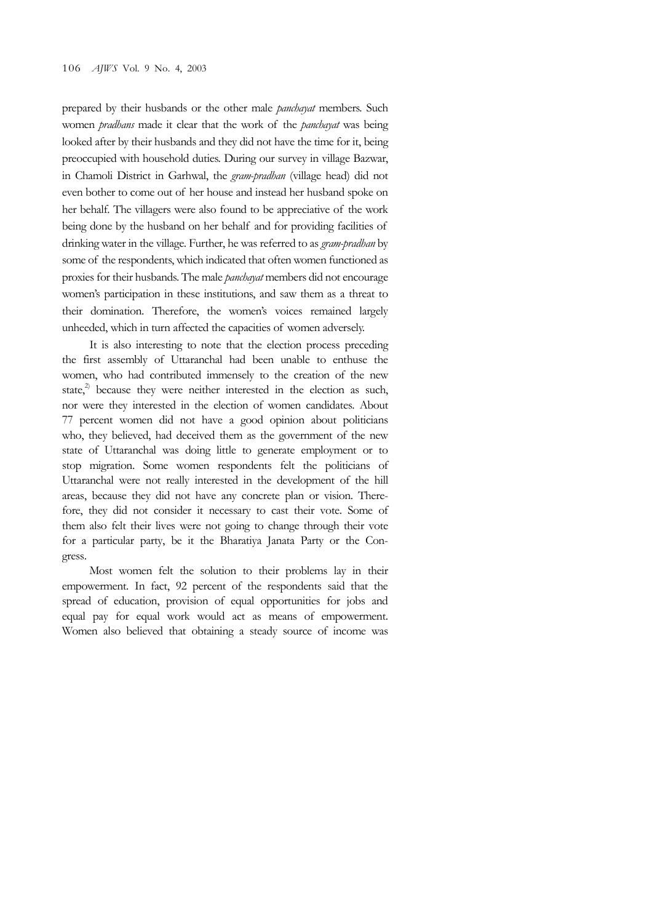prepared by their husbands or the other male *panchayat* members. Such women *pradhans* made it clear that the work of the *panchayat* was being looked after by their husbands and they did not have the time for it, being preoccupied with household duties. During our survey in village Bazwar, in Chamoli District in Garhwal, the gram-pradhan (village head) did not even bother to come out of her house and instead her husband spoke on her behalf. The villagers were also found to be appreciative of the work being done by the husband on her behalf and for providing facilities of drinking water in the village. Further, he was referred to as *gram-pradhan* by some of the respondents, which indicated that often women functioned as proxies for their husbands. The male panchayat members did not encourage women's participation in these institutions, and saw them as a threat to their domination. Therefore, the women's voices remained largely unheeded, which in turn affected the capacities of women adversely.

It is also interesting to note that the election process preceding the first assembly of Uttaranchal had been unable to enthuse the women, who had contributed immensely to the creation of the new state, $2$  because they were neither interested in the election as such, nor were they interested in the election of women candidates. About 77 percent women did not have a good opinion about politicians who, they believed, had deceived them as the government of the new state of Uttaranchal was doing little to generate employment or to stop migration. Some women respondents felt the politicians of Uttaranchal were not really interested in the development of the hill areas, because they did not have any concrete plan or vision. Therefore, they did not consider it necessary to cast their vote. Some of them also felt their lives were not going to change through their vote for a particular party, be it the Bharatiya Janata Party or the Congress.

Most women felt the solution to their problems lay in their empowerment. In fact, 92 percent of the respondents said that the spread of education, provision of equal opportunities for jobs and equal pay for equal work would act as means of empowerment. Women also believed that obtaining a steady source of income was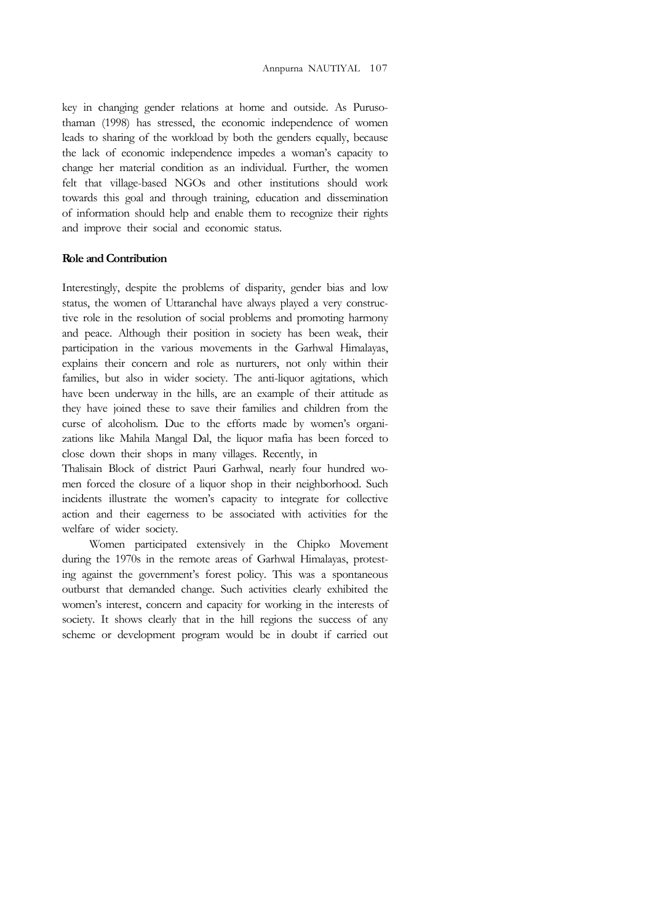key in changing gender relations at home and outside. As Purusothaman (1998) has stressed, the economic independence of women leads to sharing of the workload by both the genders equally, because the lack of economic independence impedes a woman's capacity to change her material condition as an individual. Further, the women felt that village-based NGOs and other institutions should work towards this goal and through training, education and dissemination of information should help and enable them to recognize their rights and improve their social and economic status.

# Role and Contribution

Interestingly, despite the problems of disparity, gender bias and low status, the women of Uttaranchal have always played a very constructive role in the resolution of social problems and promoting harmony and peace. Although their position in society has been weak, their participation in the various movements in the Garhwal Himalayas, explains their concern and role as nurturers, not only within their families, but also in wider society. The anti-liquor agitations, which have been underway in the hills, are an example of their attitude as they have joined these to save their families and children from the curse of alcoholism. Due to the efforts made by women's organizations like Mahila Mangal Dal, the liquor mafia has been forced to close down their shops in many villages. Recently, in

Thalisain Block of district Pauri Garhwal, nearly four hundred women forced the closure of a liquor shop in their neighborhood. Such incidents illustrate the women's capacity to integrate for collective action and their eagerness to be associated with activities for the welfare of wider society.

Women participated extensively in the Chipko Movement during the 1970s in the remote areas of Garhwal Himalayas, protesting against the government's forest policy. This was a spontaneous outburst that demanded change. Such activities clearly exhibited the women's interest, concern and capacity for working in the interests of society. It shows clearly that in the hill regions the success of any scheme or development program would be in doubt if carried out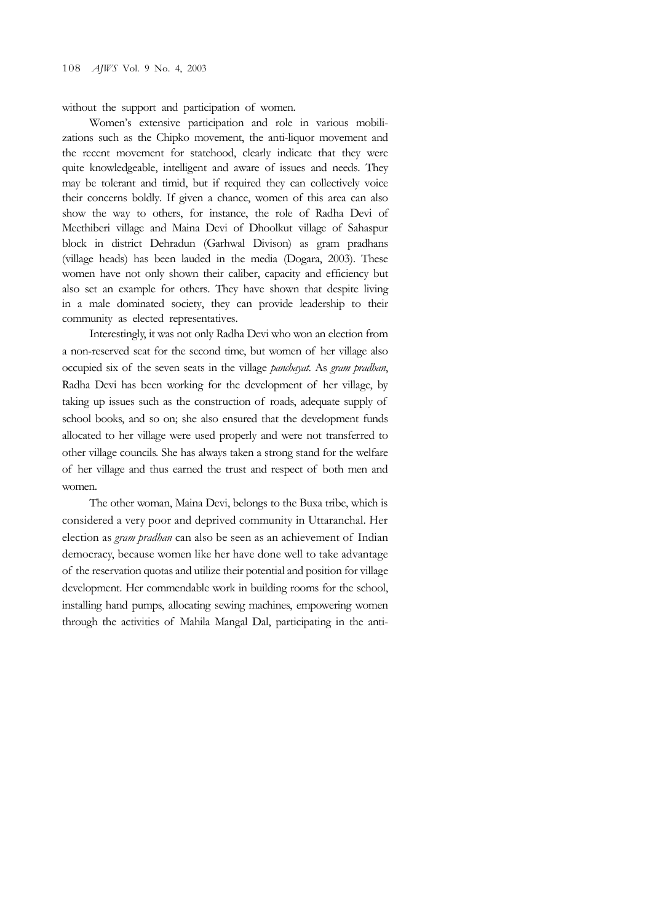without the support and participation of women.

Women's extensive participation and role in various mobilizations such as the Chipko movement, the anti-liquor movement and the recent movement for statehood, clearly indicate that they were quite knowledgeable, intelligent and aware of issues and needs. They may be tolerant and timid, but if required they can collectively voice their concerns boldly. If given a chance, women of this area can also show the way to others, for instance, the role of Radha Devi of Meethiberi village and Maina Devi of Dhoolkut village of Sahaspur block in district Dehradun (Garhwal Divison) as gram pradhans (village heads) has been lauded in the media (Dogara, 2003). These women have not only shown their caliber, capacity and efficiency but also set an example for others. They have shown that despite living in a male dominated society, they can provide leadership to their community as elected representatives.

Interestingly, it was not only Radha Devi who won an election from a non-reserved seat for the second time, but women of her village also occupied six of the seven seats in the village panchayat. As gram pradhan, Radha Devi has been working for the development of her village, by taking up issues such as the construction of roads, adequate supply of school books, and so on; she also ensured that the development funds allocated to her village were used properly and were not transferred to other village councils. She has always taken a strong stand for the welfare of her village and thus earned the trust and respect of both men and women.

The other woman, Maina Devi, belongs to the Buxa tribe, which is considered a very poor and deprived community in Uttaranchal. Her election as gram pradhan can also be seen as an achievement of Indian democracy, because women like her have done well to take advantage of the reservation quotas and utilize their potential and position for village development. Her commendable work in building rooms for the school, installing hand pumps, allocating sewing machines, empowering women through the activities of Mahila Mangal Dal, participating in the anti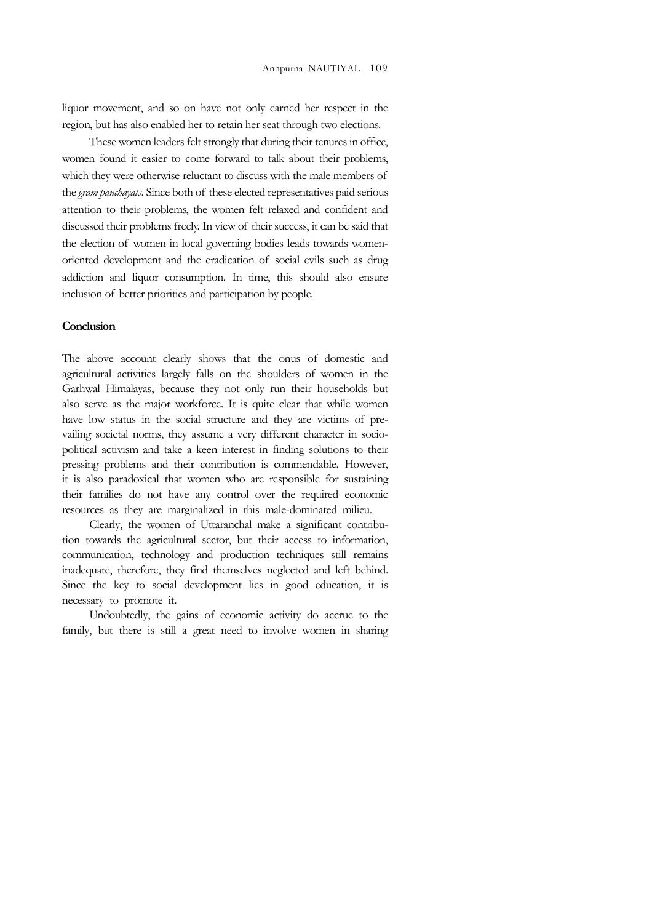liquor movement, and so on have not only earned her respect in the region, but has also enabled her to retain her seat through two elections.

These women leaders felt strongly that during their tenures in office, women found it easier to come forward to talk about their problems, which they were otherwise reluctant to discuss with the male members of the gram panchayats. Since both of these elected representatives paid serious attention to their problems, the women felt relaxed and confident and discussed their problems freely. In view of their success, it can be said that the election of women in local governing bodies leads towards womenoriented development and the eradication of social evils such as drug addiction and liquor consumption. In time, this should also ensure inclusion of better priorities and participation by people.

## **Conclusion**

The above account clearly shows that the onus of domestic and agricultural activities largely falls on the shoulders of women in the Garhwal Himalayas, because they not only run their households but also serve as the major workforce. It is quite clear that while women have low status in the social structure and they are victims of prevailing societal norms, they assume a very different character in sociopolitical activism and take a keen interest in finding solutions to their pressing problems and their contribution is commendable. However, it is also paradoxical that women who are responsible for sustaining their families do not have any control over the required economic resources as they are marginalized in this male-dominated milieu.

Clearly, the women of Uttaranchal make a significant contribution towards the agricultural sector, but their access to information, communication, technology and production techniques still remains inadequate, therefore, they find themselves neglected and left behind. Since the key to social development lies in good education, it is necessary to promote it.

Undoubtedly, the gains of economic activity do accrue to the family, but there is still a great need to involve women in sharing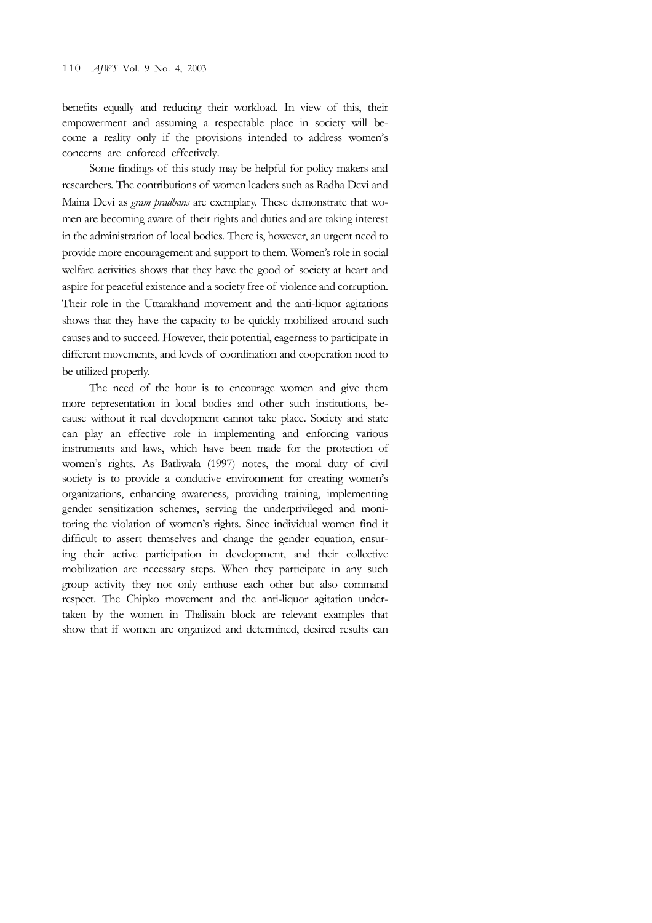benefits equally and reducing their workload. In view of this, their empowerment and assuming a respectable place in society will become a reality only if the provisions intended to address women's concerns are enforced effectively.

Some findings of this study may be helpful for policy makers and researchers. The contributions of women leaders such as Radha Devi and Maina Devi as gram pradhans are exemplary. These demonstrate that women are becoming aware of their rights and duties and are taking interest in the administration of local bodies. There is, however, an urgent need to provide more encouragement and support to them. Women's role in social welfare activities shows that they have the good of society at heart and aspire for peaceful existence and a society free of violence and corruption. Their role in the Uttarakhand movement and the anti-liquor agitations shows that they have the capacity to be quickly mobilized around such causes and to succeed. However, their potential, eagernessto participate in different movements, and levels of coordination and cooperation need to be utilized properly.

The need of the hour is to encourage women and give them more representation in local bodies and other such institutions, because without it real development cannot take place. Society and state can play an effective role in implementing and enforcing various instruments and laws, which have been made for the protection of women's rights. As Batliwala (1997) notes, the moral duty of civil society is to provide a conducive environment for creating women's organizations, enhancing awareness, providing training, implementing gender sensitization schemes, serving the underprivileged and monitoring the violation of women's rights. Since individual women find it difficult to assert themselves and change the gender equation, ensuring their active participation in development, and their collective mobilization are necessary steps. When they participate in any such group activity they not only enthuse each other but also command respect. The Chipko movement and the anti-liquor agitation undertaken by the women in Thalisain block are relevant examples that show that if women are organized and determined, desired results can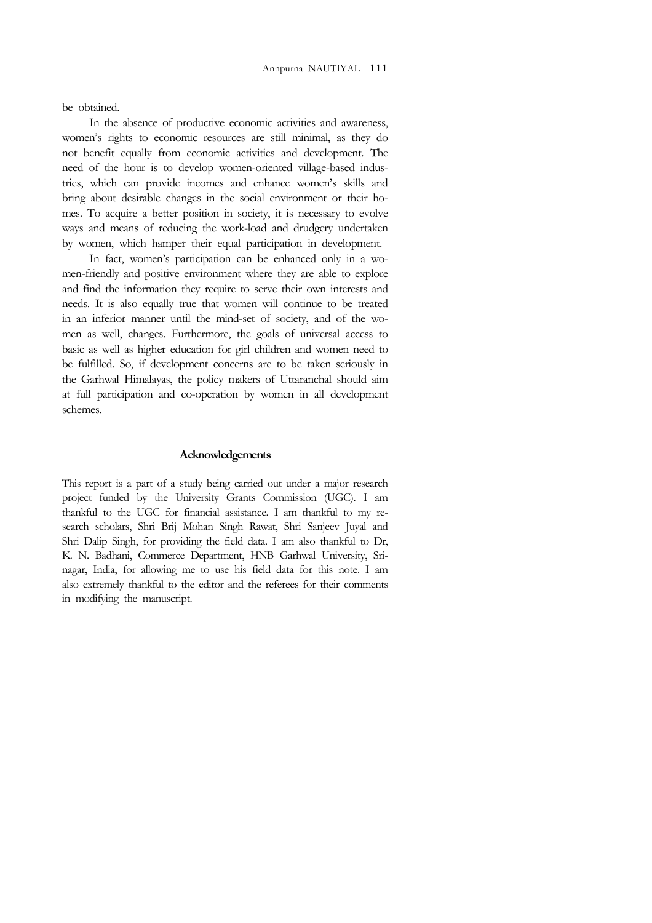be obtained.

In the absence of productive economic activities and awareness, women's rights to economic resources are still minimal, as they do not benefit equally from economic activities and development. The need of the hour is to develop women-oriented village-based industries, which can provide incomes and enhance women's skills and bring about desirable changes in the social environment or their homes. To acquire a better position in society, it is necessary to evolve ways and means of reducing the work-load and drudgery undertaken by women, which hamper their equal participation in development.

In fact, women's participation can be enhanced only in a women-friendly and positive environment where they are able to explore and find the information they require to serve their own interests and needs. It is also equally true that women will continue to be treated in an inferior manner until the mind-set of society, and of the women as well, changes. Furthermore, the goals of universal access to basic as well as higher education for girl children and women need to be fulfilled. So, if development concerns are to be taken seriously in the Garhwal Himalayas, the policy makers of Uttaranchal should aim at full participation and co-operation by women in all development schemes.

#### Acknowledgements

This report is a part of a study being carried out under a major research project funded by the University Grants Commission (UGC). I am thankful to the UGC for financial assistance. I am thankful to my research scholars, Shri Brij Mohan Singh Rawat, Shri Sanjeev Juyal and Shri Dalip Singh, for providing the field data. I am also thankful to Dr, K. N. Badhani, Commerce Department, HNB Garhwal University, Srinagar, India, for allowing me to use his field data for this note. I am also extremely thankful to the editor and the referees for their comments in modifying the manuscript.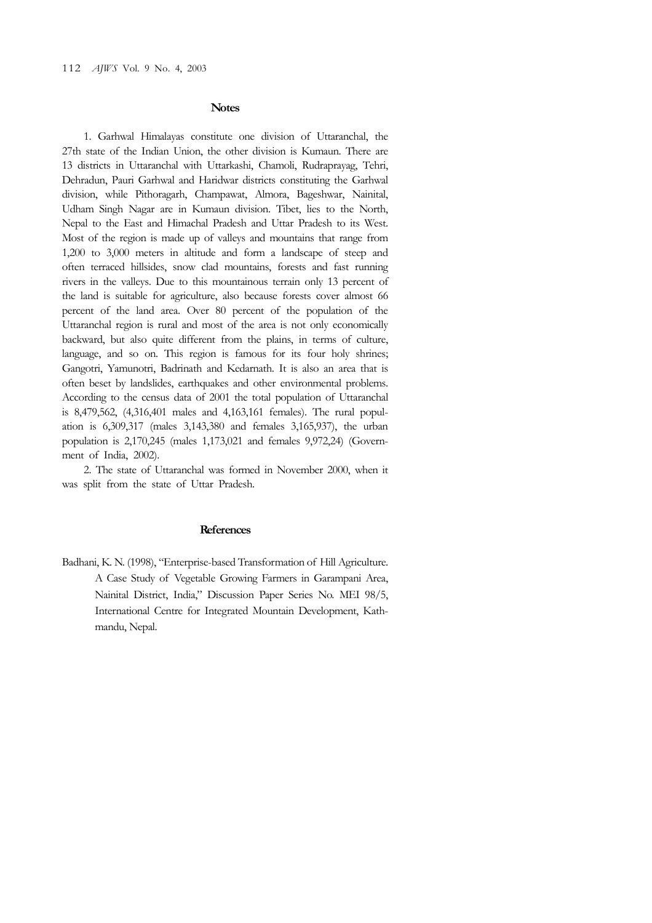## **Notes**

1. Garhwal Himalayas constitute one division of Uttaranchal, the 27th state of the Indian Union, the other division is Kumaun. There are 13 districts in Uttaranchal with Uttarkashi, Chamoli, Rudraprayag, Tehri, Dehradun, Pauri Garhwal and Haridwar districts constituting the Garhwal division, while Pithoragarh, Champawat, Almora, Bageshwar, Nainital, Udham Singh Nagar are in Kumaun division. Tibet, lies to the North, Nepal to the East and Himachal Pradesh and Uttar Pradesh to its West. Most of the region is made up of valleys and mountains that range from 1,200 to 3,000 meters in altitude and form a landscape of steep and often terraced hillsides, snow clad mountains, forests and fast running rivers in the valleys. Due to this mountainous terrain only 13 percent of the land is suitable for agriculture, also because forests cover almost 66 percent of the land area. Over 80 percent of the population of the Uttaranchal region is rural and most of the area is not only economically backward, but also quite different from the plains, in terms of culture, language, and so on. This region is famous for its four holy shrines; Gangotri, Yamunotri, Badrinath and Kedarnath. It is also an area that is often beset by landslides, earthquakes and other environmental problems. According to the census data of 2001 the total population of Uttaranchal is 8,479,562, (4,316,401 males and 4,163,161 females). The rural population is 6,309,317 (males 3,143,380 and females 3,165,937), the urban population is 2,170,245 (males 1,173,021 and females 9,972,24) (Government of India, 2002).

2. The state of Uttaranchal was formed in November 2000, when it was split from the state of Uttar Pradesh.

## **References**

Badhani, K. N. (1998), "Enterprise-based Transformation of Hill Agriculture. A Case Study of Vegetable Growing Farmers in Garampani Area, Nainital District, India," Discussion Paper Series No. MEI 98/5, International Centre for Integrated Mountain Development, Kathmandu, Nepal.